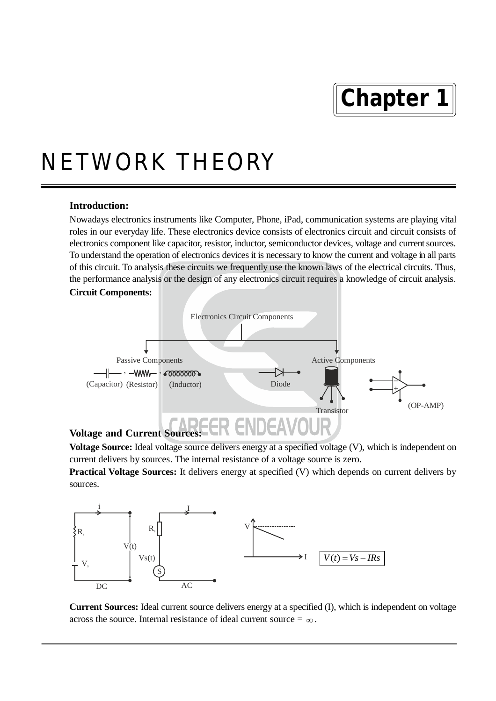# **Chapter 1**

## NETWORK THEORY

### **Introduction:**

Nowadays electronics instruments like Computer, Phone, iPad, communication systems are playing vital roles in our everyday life. These electronics device consists of electronics circuit and circuit consists of electronics component like capacitor, resistor, inductor, semiconductor devices, voltage and current sources. To understand the operation of electronics devices it is necessary to know the current and voltage in all parts of this circuit. To analysis these circuits we frequently use the known laws of the electrical circuits. Thus, the performance analysis or the design of any electronics circuit requires a knowledge of circuit analysis. **Circuit Components:**



**Voltage Source:** Ideal voltage source delivers energy at a specified voltage (V), which is independent on current delivers by sources. The internal resistance of a voltage source is zero.

**Practical Voltage Sources:** It delivers energy at specified (V) which depends on current delivers by sources.



**Current Sources:** Ideal current source delivers energy at a specified (I), which is independent on voltage across the source. Internal resistance of ideal current source  $=\infty$ .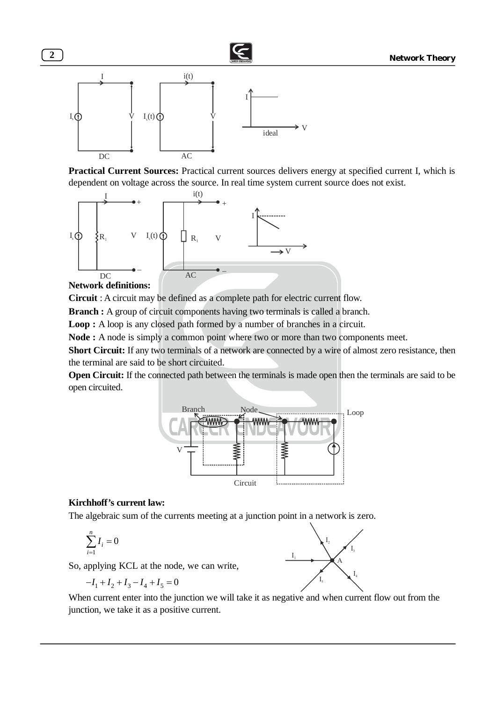

**Practical Current Sources:** Practical current sources delivers energy at specified current I, which is dependent on voltage across the source. In real time system current source does not exist.



### **Network definitions:**

**Circuit** : A circuit may be defined as a complete path for electric current flow.

**Branch :** A group of circuit components having two terminals is called a branch.

**Loop :** A loop is any closed path formed by a number of branches in a circuit.

**Node :** A node is simply a common point where two or more than two components meet.

**Short Circuit:** If any two terminals of a network are connected by a wire of almost zero resistance, then the terminal are said to be short circuited.

**Open Circuit:** If the connected path between the terminals is made open then the terminals are said to be open circuited.



### **Kirchhoff's current law:**

The algebraic sum of the currents meeting at a junction point in a network is zero.

$$
\sum_{i=1}^n I_i = 0
$$

So, applying KCL at the node, we can write,

 $-I_1 + I_2 + I_3 - I_4 + I_5 = 0$ 



When current enter into the junction we will take it as negative and when current flow out from the junction, we take it as a positive current.